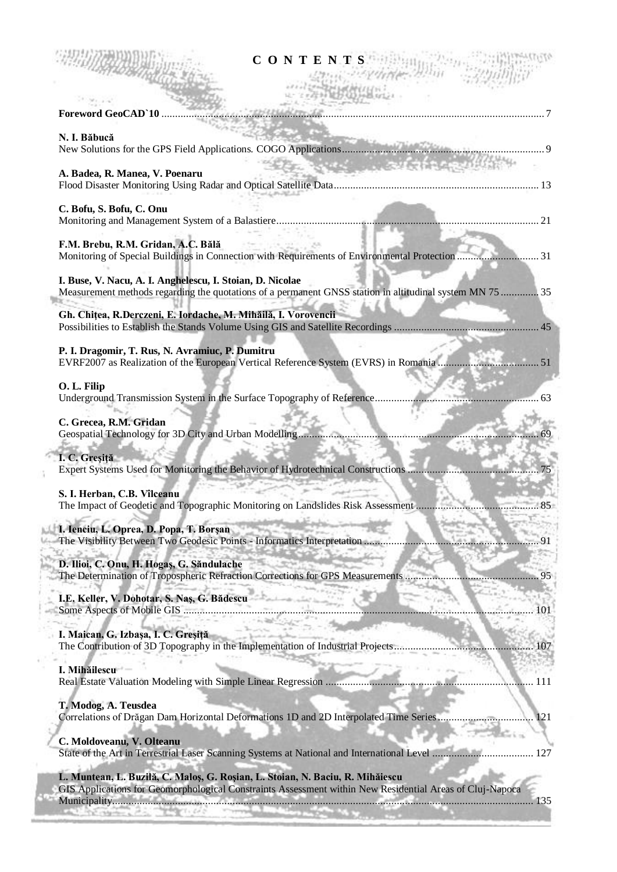| <b>CONTENTS</b>                                                                                                                                                                                  |
|--------------------------------------------------------------------------------------------------------------------------------------------------------------------------------------------------|
| Foreword GeoCAD'10                                                                                                                                                                               |
| N. I. Băbucă                                                                                                                                                                                     |
| <b>ALL ALL REPORTS</b><br>A. Badea, R. Manea, V. Poenaru                                                                                                                                         |
| C. Bofu, S. Bofu, C. Onu                                                                                                                                                                         |
| F.M. Brebu, R.M. Gridan, A.C. Bălă                                                                                                                                                               |
| I. Buse, V. Nacu, A. I. Anghelescu, I. Stoian, D. Nicolae<br>Measurement methods regarding the quotations of a permanent GNSS station in altitudinal system MN 75 35                             |
| Gh. Chițea, R.Derczeni, E. Iordache, M. Mihăilă, I. Vorovencii                                                                                                                                   |
| P. I. Dragomir, T. Rus, N. Avramiuc, P. Dumitru                                                                                                                                                  |
| O.L. Filip                                                                                                                                                                                       |
| C. Grecea, R.M. Gridan                                                                                                                                                                           |
| I. C. Greșiță                                                                                                                                                                                    |
| S. I. Herban, C.B. Vîlceanu                                                                                                                                                                      |
| I. Ienciu, L. Oprea, D. Popa, T. Borșan<br>The Visibility Between Two Geodesic Points - Informatics Interpretation                                                                               |
| D. Ilioi, C. Onu, H. Hogaș, G. Săndulache<br>The Determination of Tropospheric Refraction Corrections for GPS Measurements                                                                       |
| I.E. Keller, V. Dohotar, S. Naș, G. Bădescu<br>101                                                                                                                                               |
| I. Maican, G. Izbașa, I. C. Greșiță<br>The Contribution of 3D Topography in the Implementation of Industrial Projects<br>107                                                                     |
| I. Mihăilescu<br>111                                                                                                                                                                             |
| T. Modog, A. Teusdea<br>Correlations of Drăgan Dam Horizontal Deformations 1D and 2D Interpolated Time Series<br>121                                                                             |
| C. Moldoveanu, V. Olteanu<br>State of the Art in Terrestrial Laser Scanning Systems at National and International Level<br>127                                                                   |
| L. Muntean, L. Buzilă, C. Maloș, G. Roșian, L. Stoian, N. Baciu, R. Mihăiescu<br>GIS Applications for Geomorphological Constraints Assessment within New Residential Areas of Cluj-Napoca<br>135 |